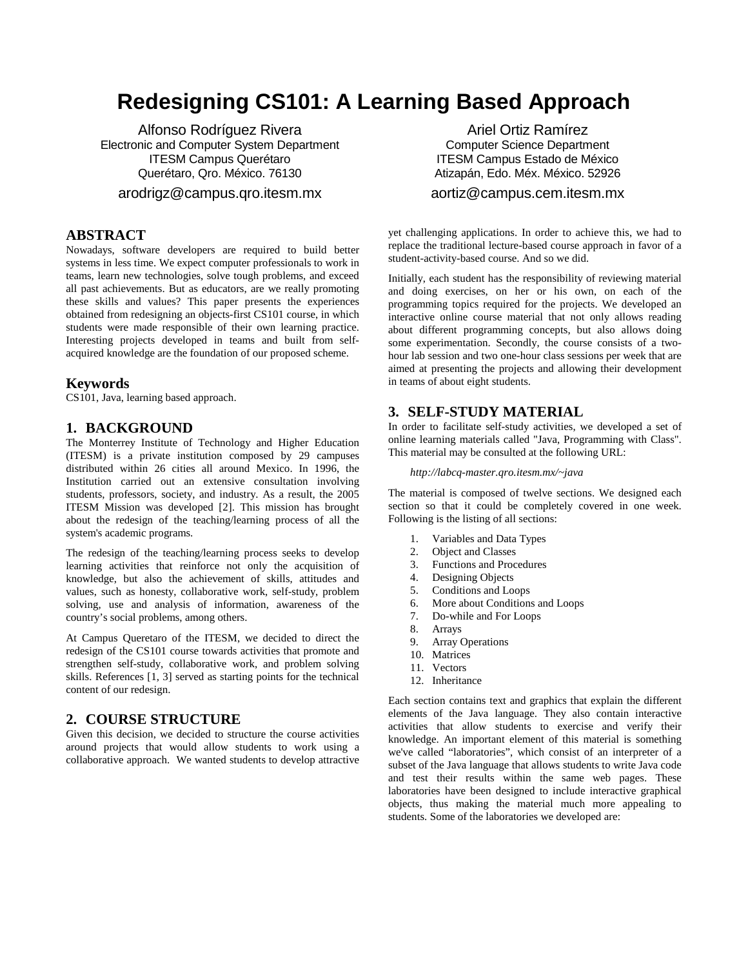# **Redesigning CS101: A Learning Based Approach**

Alfonso Rodríguez Rivera Electronic and Computer System Department ITESM Campus Querétaro Querétaro, Qro. México. 76130

arodrigz@campus.qro.itesm.mx

### **ABSTRACT**

Nowadays, software developers are required to build better systems in less time. We expect computer professionals to work in teams, learn new technologies, solve tough problems, and exceed all past achievements. But as educators, are we really promoting these skills and values? This paper presents the experiences obtained from redesigning an objects-first CS101 course, in which students were made responsible of their own learning practice. Interesting projects developed in teams and built from selfacquired knowledge are the foundation of our proposed scheme.

#### **Keywords**

CS101, Java, learning based approach.

#### **1. BACKGROUND**

The Monterrey Institute of Technology and Higher Education (ITESM) is a private institution composed by 29 campuses distributed within 26 cities all around Mexico. In 1996, the Institution carried out an extensive consultation involving students, professors, society, and industry. As a result, the 2005 ITESM Mission was developed [2]. This mission has brought about the redesign of the teaching/learning process of all the system's academic programs.

The redesign of the teaching/learning process seeks to develop learning activities that reinforce not only the acquisition of knowledge, but also the achievement of skills, attitudes and values, such as honesty, collaborative work, self-study, problem solving, use and analysis of information, awareness of the country's social problems, among others.

At Campus Queretaro of the ITESM, we decided to direct the redesign of the CS101 course towards activities that promote and strengthen self-study, collaborative work, and problem solving skills. References [1, 3] served as starting points for the technical content of our redesign.

### **2. COURSE STRUCTURE**

Given this decision, we decided to structure the course activities around projects that would allow students to work using a collaborative approach. We wanted students to develop attractive

Ariel Ortiz Ramírez Computer Science Department ITESM Campus Estado de México Atizapán, Edo. Méx. México. 52926

#### aortiz@campus.cem.itesm.mx

yet challenging applications. In order to achieve this, we had to replace the traditional lecture-based course approach in favor of a student-activity-based course. And so we did.

Initially, each student has the responsibility of reviewing material and doing exercises, on her or his own, on each of the programming topics required for the projects. We developed an interactive online course material that not only allows reading about different programming concepts, but also allows doing some experimentation. Secondly, the course consists of a twohour lab session and two one-hour class sessions per week that are aimed at presenting the projects and allowing their development in teams of about eight students.

### **3. SELF-STUDY MATERIAL**

In order to facilitate self-study activities, we developed a set of online learning materials called "Java, Programming with Class". This material may be consulted at the following URL:

#### *http://labcq-master.qro.itesm.mx/~java*

The material is composed of twelve sections. We designed each section so that it could be completely covered in one week. Following is the listing of all sections:

- 1. Variables and Data Types
- 2. Object and Classes
- 3. Functions and Procedures
- 4. Designing Objects
- 5. Conditions and Loops
- 6. More about Conditions and Loops
- 7. Do-while and For Loops
- 8. Arrays
- 9. Array Operations
- 10. Matrices
- 11. Vectors
- 12. Inheritance

Each section contains text and graphics that explain the different elements of the Java language. They also contain interactive activities that allow students to exercise and verify their knowledge. An important element of this material is something we've called "laboratories", which consist of an interpreter of a subset of the Java language that allows students to write Java code and test their results within the same web pages. These laboratories have been designed to include interactive graphical objects, thus making the material much more appealing to students. Some of the laboratories we developed are: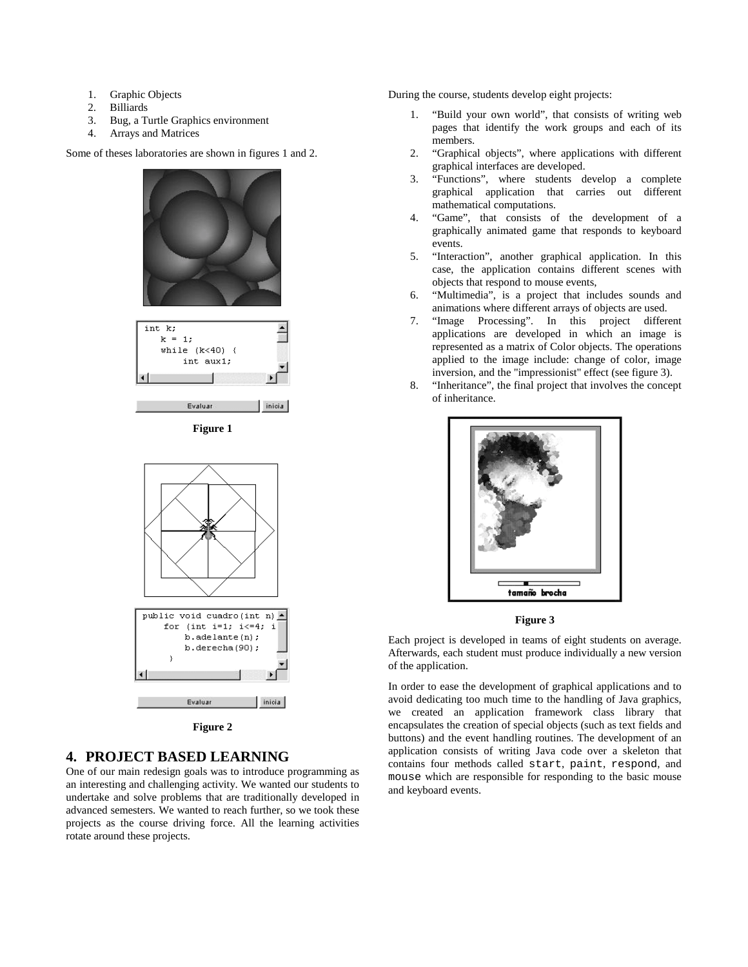- 1. Graphic Objects
- 2. Billiards
- 3. Bug, a Turtle Graphics environment
- 4. Arrays and Matrices

Some of theses laboratories are shown in figures 1 and 2.



**Figure 1** 



**Figure 2** 

# **4. PROJECT BASED LEARNING**

One of our main redesign goals was to introduce programming as an interesting and challenging activity. We wanted our students to undertake and solve problems that are traditionally developed in advanced semesters. We wanted to reach further, so we took these projects as the course driving force. All the learning activities rotate around these projects.

During the course, students develop eight projects:

- 1. "Build your own world", that consists of writing web pages that identify the work groups and each of its members.
- 2. "Graphical objects", where applications with different graphical interfaces are developed.
- 3. "Functions", where students develop a complete graphical application that carries out different mathematical computations.
- 4. "Game", that consists of the development of a graphically animated game that responds to keyboard events.
- 5. "Interaction", another graphical application. In this case, the application contains different scenes with objects that respond to mouse events,
- 6. "Multimedia", is a project that includes sounds and animations where different arrays of objects are used.
- 7. "Image Processing". In this project different applications are developed in which an image is represented as a matrix of Color objects. The operations applied to the image include: change of color, image inversion, and the "impressionist" effect (see figure 3).
- 8. "Inheritance", the final project that involves the concept of inheritance.



#### **Figure 3**

Each project is developed in teams of eight students on average. Afterwards, each student must produce individually a new version of the application.

In order to ease the development of graphical applications and to avoid dedicating too much time to the handling of Java graphics, we created an application framework class library that encapsulates the creation of special objects (such as text fields and buttons) and the event handling routines. The development of an application consists of writing Java code over a skeleton that contains four methods called start, paint, respond, and mouse which are responsible for responding to the basic mouse and keyboard events.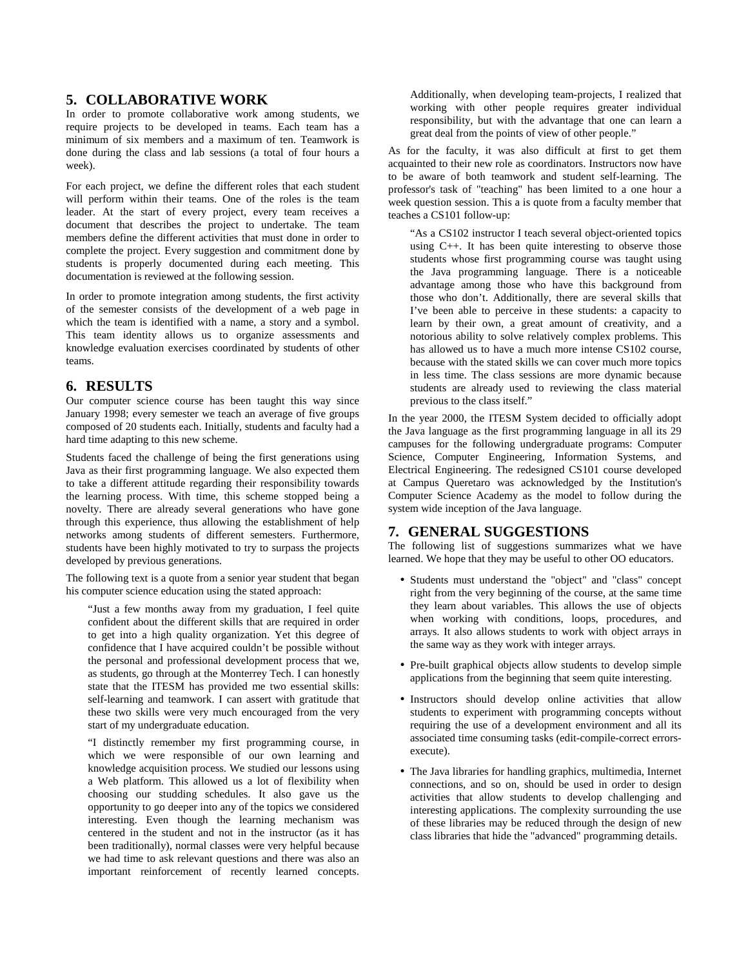### **5. COLLABORATIVE WORK**

In order to promote collaborative work among students, we require projects to be developed in teams. Each team has a minimum of six members and a maximum of ten. Teamwork is done during the class and lab sessions (a total of four hours a week).

For each project, we define the different roles that each student will perform within their teams. One of the roles is the team leader. At the start of every project, every team receives a document that describes the project to undertake. The team members define the different activities that must done in order to complete the project. Every suggestion and commitment done by students is properly documented during each meeting. This documentation is reviewed at the following session.

In order to promote integration among students, the first activity of the semester consists of the development of a web page in which the team is identified with a name, a story and a symbol. This team identity allows us to organize assessments and knowledge evaluation exercises coordinated by students of other teams.

### **6. RESULTS**

Our computer science course has been taught this way since January 1998; every semester we teach an average of five groups composed of 20 students each. Initially, students and faculty had a hard time adapting to this new scheme.

Students faced the challenge of being the first generations using Java as their first programming language. We also expected them to take a different attitude regarding their responsibility towards the learning process. With time, this scheme stopped being a novelty. There are already several generations who have gone through this experience, thus allowing the establishment of help networks among students of different semesters. Furthermore, students have been highly motivated to try to surpass the projects developed by previous generations.

The following text is a quote from a senior year student that began his computer science education using the stated approach:

"Just a few months away from my graduation, I feel quite confident about the different skills that are required in order to get into a high quality organization. Yet this degree of confidence that I have acquired couldn't be possible without the personal and professional development process that we, as students, go through at the Monterrey Tech. I can honestly state that the ITESM has provided me two essential skills: self-learning and teamwork. I can assert with gratitude that these two skills were very much encouraged from the very start of my undergraduate education.

"I distinctly remember my first programming course, in which we were responsible of our own learning and knowledge acquisition process. We studied our lessons using a Web platform. This allowed us a lot of flexibility when choosing our studding schedules. It also gave us the opportunity to go deeper into any of the topics we considered interesting. Even though the learning mechanism was centered in the student and not in the instructor (as it has been traditionally), normal classes were very helpful because we had time to ask relevant questions and there was also an important reinforcement of recently learned concepts.

Additionally, when developing team-projects, I realized that working with other people requires greater individual responsibility, but with the advantage that one can learn a great deal from the points of view of other people."

As for the faculty, it was also difficult at first to get them acquainted to their new role as coordinators. Instructors now have to be aware of both teamwork and student self-learning. The professor's task of "teaching" has been limited to a one hour a week question session. This a is quote from a faculty member that teaches a CS101 follow-up:

"As a CS102 instructor I teach several object-oriented topics using C++. It has been quite interesting to observe those students whose first programming course was taught using the Java programming language. There is a noticeable advantage among those who have this background from those who don't. Additionally, there are several skills that I've been able to perceive in these students: a capacity to learn by their own, a great amount of creativity, and a notorious ability to solve relatively complex problems. This has allowed us to have a much more intense CS102 course, because with the stated skills we can cover much more topics in less time. The class sessions are more dynamic because students are already used to reviewing the class material previous to the class itself."

In the year 2000, the ITESM System decided to officially adopt the Java language as the first programming language in all its 29 campuses for the following undergraduate programs: Computer Science, Computer Engineering, Information Systems, and Electrical Engineering. The redesigned CS101 course developed at Campus Queretaro was acknowledged by the Institution's Computer Science Academy as the model to follow during the system wide inception of the Java language.

### **7. GENERAL SUGGESTIONS**

The following list of suggestions summarizes what we have learned. We hope that they may be useful to other OO educators.

- Students must understand the "object" and "class" concept right from the very beginning of the course, at the same time they learn about variables. This allows the use of objects when working with conditions, loops, procedures, and arrays. It also allows students to work with object arrays in the same way as they work with integer arrays.
- Pre-built graphical objects allow students to develop simple applications from the beginning that seem quite interesting.
- Instructors should develop online activities that allow students to experiment with programming concepts without requiring the use of a development environment and all its associated time consuming tasks (edit-compile-correct errorsexecute).
- The Java libraries for handling graphics, multimedia, Internet connections, and so on, should be used in order to design activities that allow students to develop challenging and interesting applications. The complexity surrounding the use of these libraries may be reduced through the design of new class libraries that hide the "advanced" programming details.